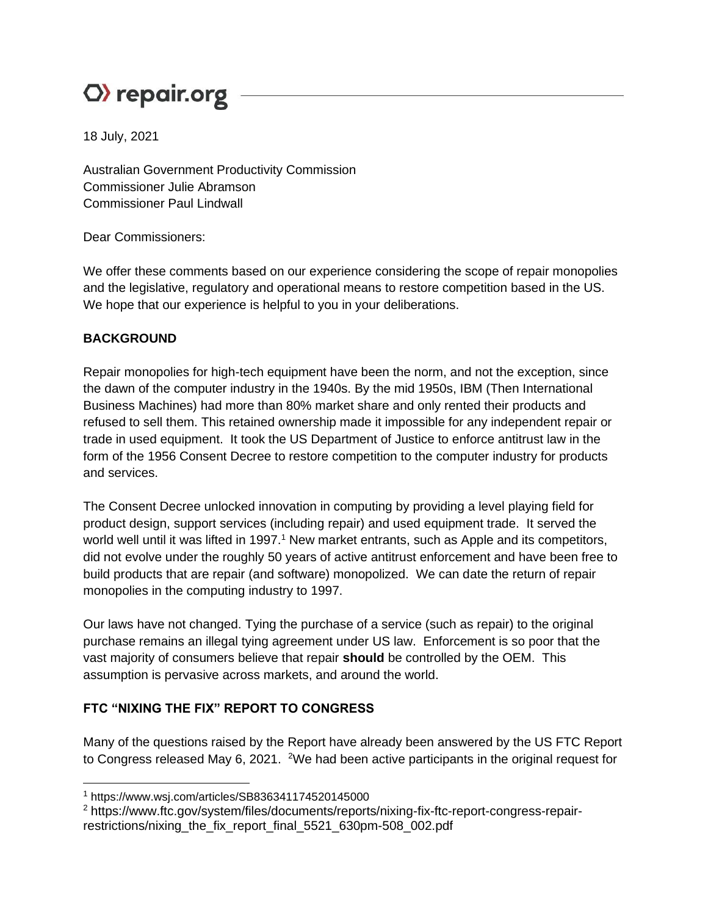# O) repair.org

18 July, 2021

Australian Government Productivity Commission Commissioner Julie Abramson Commissioner Paul Lindwall

Dear Commissioners:

We offer these comments based on our experience considering the scope of repair monopolies and the legislative, regulatory and operational means to restore competition based in the US. We hope that our experience is helpful to you in your deliberations.

# **BACKGROUND**

Repair monopolies for high-tech equipment have been the norm, and not the exception, since the dawn of the computer industry in the 1940s. By the mid 1950s, IBM (Then International Business Machines) had more than 80% market share and only rented their products and refused to sell them. This retained ownership made it impossible for any independent repair or trade in used equipment. It took the US Department of Justice to enforce antitrust law in the form of the 1956 Consent Decree to restore competition to the computer industry for products and services.

The Consent Decree unlocked innovation in computing by providing a level playing field for product design, support services (including repair) and used equipment trade. It served the world well until it was lifted in 1997.<sup>1</sup> New market entrants, such as Apple and its competitors, did not evolve under the roughly 50 years of active antitrust enforcement and have been free to build products that are repair (and software) monopolized. We can date the return of repair monopolies in the computing industry to 1997.

Our laws have not changed. Tying the purchase of a service (such as repair) to the original purchase remains an illegal tying agreement under US law. Enforcement is so poor that the vast majority of consumers believe that repair **should** be controlled by the OEM. This assumption is pervasive across markets, and around the world.

# **FTC "NIXING THE FIX" REPORT TO CONGRESS**

Many of the questions raised by the Report have already been answered by the US FTC Report to Congress released May 6, 2021. <sup>2</sup>We had been active participants in the original request for

<sup>1</sup> https://www.wsj.com/articles/SB836341174520145000

<sup>2</sup> https://www.ftc.gov/system/files/documents/reports/nixing-fix-ftc-report-congress-repairrestrictions/nixing\_the\_fix\_report\_final\_5521\_630pm-508\_002.pdf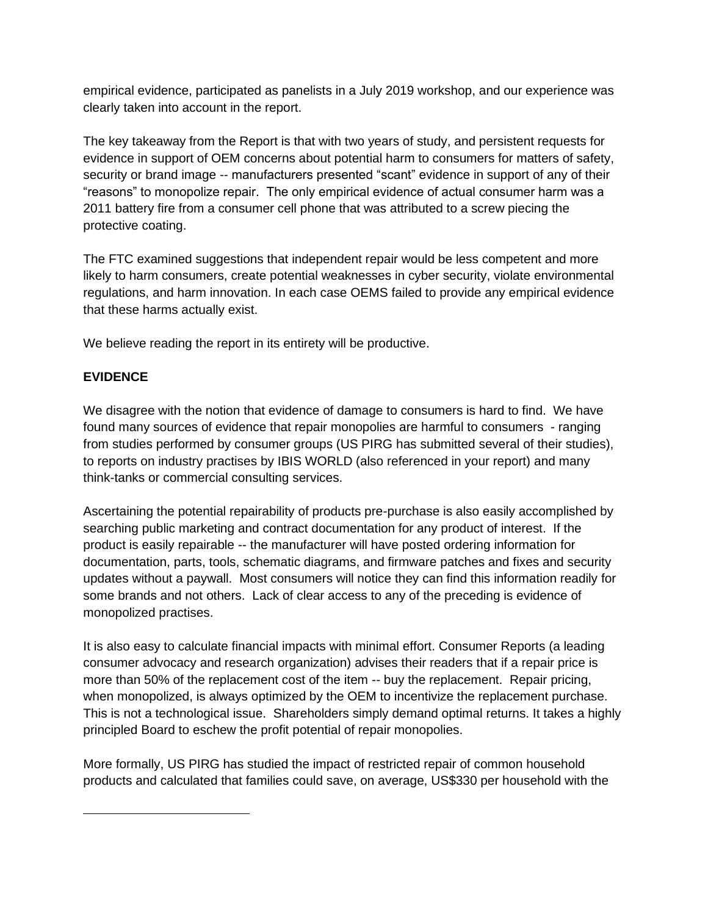empirical evidence, participated as panelists in a July 2019 workshop, and our experience was clearly taken into account in the report.

The key takeaway from the Report is that with two years of study, and persistent requests for evidence in support of OEM concerns about potential harm to consumers for matters of safety, security or brand image -- manufacturers presented "scant" evidence in support of any of their "reasons" to monopolize repair. The only empirical evidence of actual consumer harm was a 2011 battery fire from a consumer cell phone that was attributed to a screw piecing the protective coating.

The FTC examined suggestions that independent repair would be less competent and more likely to harm consumers, create potential weaknesses in cyber security, violate environmental regulations, and harm innovation. In each case OEMS failed to provide any empirical evidence that these harms actually exist.

We believe reading the report in its entirety will be productive.

# **EVIDENCE**

We disagree with the notion that evidence of damage to consumers is hard to find. We have found many sources of evidence that repair monopolies are harmful to consumers - ranging from studies performed by consumer groups (US PIRG has submitted several of their studies), to reports on industry practises by IBIS WORLD (also referenced in your report) and many think-tanks or commercial consulting services.

Ascertaining the potential repairability of products pre-purchase is also easily accomplished by searching public marketing and contract documentation for any product of interest. If the product is easily repairable -- the manufacturer will have posted ordering information for documentation, parts, tools, schematic diagrams, and firmware patches and fixes and security updates without a paywall. Most consumers will notice they can find this information readily for some brands and not others. Lack of clear access to any of the preceding is evidence of monopolized practises.

It is also easy to calculate financial impacts with minimal effort. Consumer Reports (a leading consumer advocacy and research organization) advises their readers that if a repair price is more than 50% of the replacement cost of the item -- buy the replacement. Repair pricing, when monopolized, is always optimized by the OEM to incentivize the replacement purchase. This is not a technological issue. Shareholders simply demand optimal returns. It takes a highly principled Board to eschew the profit potential of repair monopolies.

More formally, US PIRG has studied the impact of restricted repair of common household products and calculated that families could save, on average, US\$330 per household with the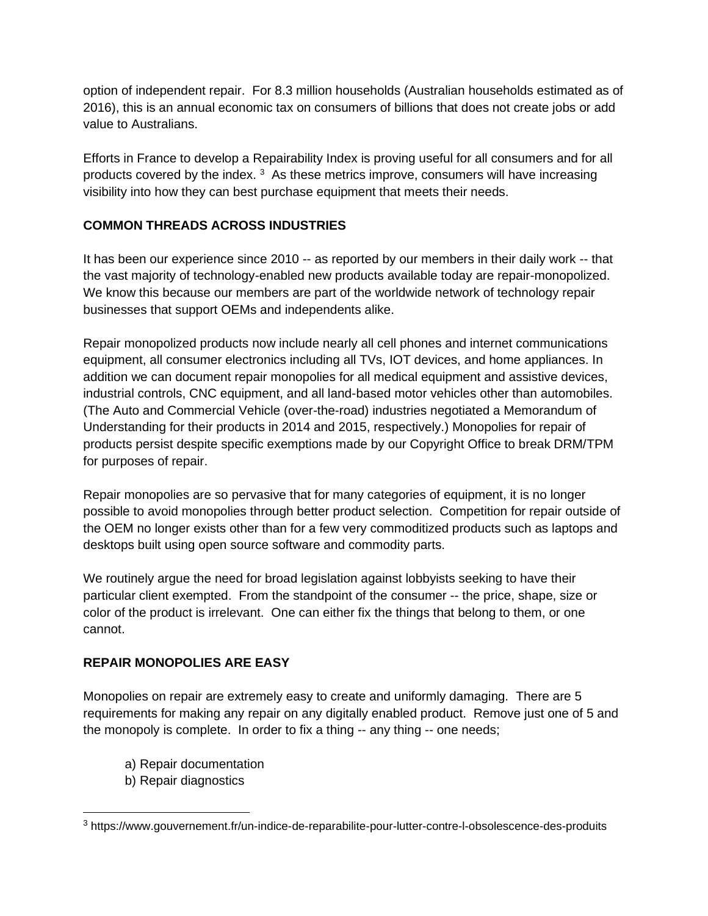option of independent repair. For 8.3 million households (Australian households estimated as of 2016), this is an annual economic tax on consumers of billions that does not create jobs or add value to Australians.

Efforts in France to develop a Repairability Index is proving useful for all consumers and for all products covered by the index. <sup>3</sup> As these metrics improve, consumers will have increasing visibility into how they can best purchase equipment that meets their needs.

# **COMMON THREADS ACROSS INDUSTRIES**

It has been our experience since 2010 -- as reported by our members in their daily work -- that the vast majority of technology-enabled new products available today are repair-monopolized. We know this because our members are part of the worldwide network of technology repair businesses that support OEMs and independents alike.

Repair monopolized products now include nearly all cell phones and internet communications equipment, all consumer electronics including all TVs, IOT devices, and home appliances. In addition we can document repair monopolies for all medical equipment and assistive devices, industrial controls, CNC equipment, and all land-based motor vehicles other than automobiles. (The Auto and Commercial Vehicle (over-the-road) industries negotiated a Memorandum of Understanding for their products in 2014 and 2015, respectively.) Monopolies for repair of products persist despite specific exemptions made by our Copyright Office to break DRM/TPM for purposes of repair.

Repair monopolies are so pervasive that for many categories of equipment, it is no longer possible to avoid monopolies through better product selection. Competition for repair outside of the OEM no longer exists other than for a few very commoditized products such as laptops and desktops built using open source software and commodity parts.

We routinely argue the need for broad legislation against lobbyists seeking to have their particular client exempted. From the standpoint of the consumer -- the price, shape, size or color of the product is irrelevant. One can either fix the things that belong to them, or one cannot.

## **REPAIR MONOPOLIES ARE EASY**

Monopolies on repair are extremely easy to create and uniformly damaging. There are 5 requirements for making any repair on any digitally enabled product. Remove just one of 5 and the monopoly is complete. In order to fix a thing -- any thing -- one needs;

- a) Repair documentation
- b) Repair diagnostics

<sup>3</sup> https://www.gouvernement.fr/un-indice-de-reparabilite-pour-lutter-contre-l-obsolescence-des-produits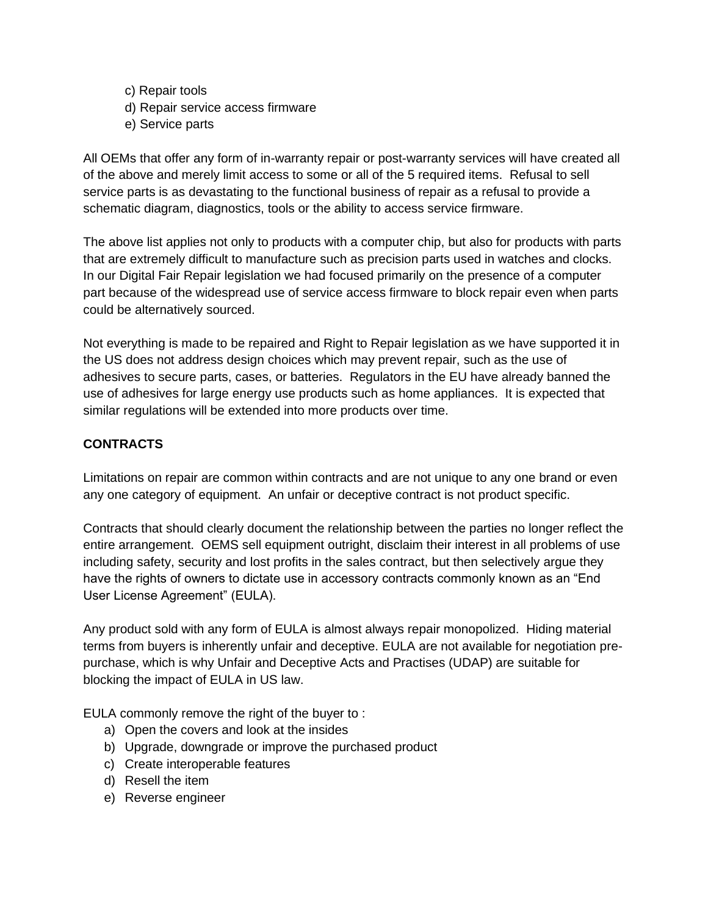c) Repair tools d) Repair service access firmware e) Service parts

All OEMs that offer any form of in-warranty repair or post-warranty services will have created all of the above and merely limit access to some or all of the 5 required items. Refusal to sell service parts is as devastating to the functional business of repair as a refusal to provide a schematic diagram, diagnostics, tools or the ability to access service firmware.

The above list applies not only to products with a computer chip, but also for products with parts that are extremely difficult to manufacture such as precision parts used in watches and clocks. In our Digital Fair Repair legislation we had focused primarily on the presence of a computer part because of the widespread use of service access firmware to block repair even when parts could be alternatively sourced.

Not everything is made to be repaired and Right to Repair legislation as we have supported it in the US does not address design choices which may prevent repair, such as the use of adhesives to secure parts, cases, or batteries. Regulators in the EU have already banned the use of adhesives for large energy use products such as home appliances. It is expected that similar regulations will be extended into more products over time.

# **CONTRACTS**

Limitations on repair are common within contracts and are not unique to any one brand or even any one category of equipment. An unfair or deceptive contract is not product specific.

Contracts that should clearly document the relationship between the parties no longer reflect the entire arrangement. OEMS sell equipment outright, disclaim their interest in all problems of use including safety, security and lost profits in the sales contract, but then selectively argue they have the rights of owners to dictate use in accessory contracts commonly known as an "End User License Agreement" (EULA).

Any product sold with any form of EULA is almost always repair monopolized. Hiding material terms from buyers is inherently unfair and deceptive. EULA are not available for negotiation prepurchase, which is why Unfair and Deceptive Acts and Practises (UDAP) are suitable for blocking the impact of EULA in US law.

EULA commonly remove the right of the buyer to :

- a) Open the covers and look at the insides
- b) Upgrade, downgrade or improve the purchased product
- c) Create interoperable features
- d) Resell the item
- e) Reverse engineer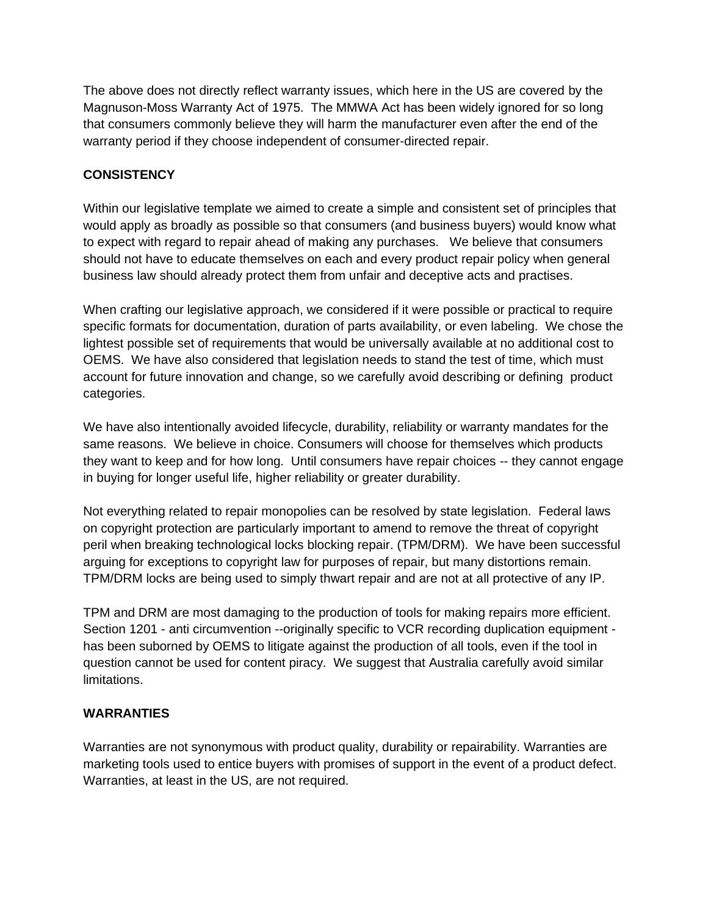The above does not directly reflect warranty issues, which here in the US are covered by the Magnuson-Moss Warranty Act of 1975. The MMWA Act has been widely ignored for so long that consumers commonly believe they will harm the manufacturer even after the end of the warranty period if they choose independent of consumer-directed repair.

## **CONSISTENCY**

Within our legislative template we aimed to create a simple and consistent set of principles that would apply as broadly as possible so that consumers (and business buyers) would know what to expect with regard to repair ahead of making any purchases. We believe that consumers should not have to educate themselves on each and every product repair policy when general business law should already protect them from unfair and deceptive acts and practises.

When crafting our legislative approach, we considered if it were possible or practical to require specific formats for documentation, duration of parts availability, or even labeling. We chose the lightest possible set of requirements that would be universally available at no additional cost to OEMS. We have also considered that legislation needs to stand the test of time, which must account for future innovation and change, so we carefully avoid describing or defining product categories.

We have also intentionally avoided lifecycle, durability, reliability or warranty mandates for the same reasons. We believe in choice. Consumers will choose for themselves which products they want to keep and for how long. Until consumers have repair choices -- they cannot engage in buying for longer useful life, higher reliability or greater durability.

Not everything related to repair monopolies can be resolved by state legislation. Federal laws on copyright protection are particularly important to amend to remove the threat of copyright peril when breaking technological locks blocking repair. (TPM/DRM). We have been successful arguing for exceptions to copyright law for purposes of repair, but many distortions remain. TPM/DRM locks are being used to simply thwart repair and are not at all protective of any IP.

TPM and DRM are most damaging to the production of tools for making repairs more efficient. Section 1201 - anti circumvention --originally specific to VCR recording duplication equipment has been suborned by OEMS to litigate against the production of all tools, even if the tool in question cannot be used for content piracy. We suggest that Australia carefully avoid similar limitations.

## **WARRANTIES**

Warranties are not synonymous with product quality, durability or repairability. Warranties are marketing tools used to entice buyers with promises of support in the event of a product defect. Warranties, at least in the US, are not required.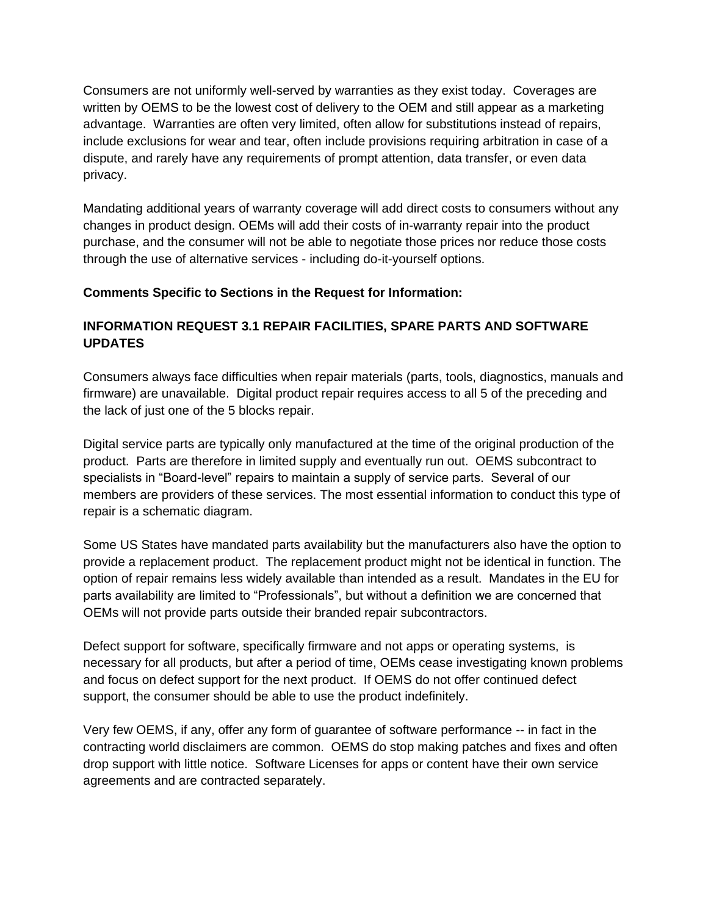Consumers are not uniformly well-served by warranties as they exist today. Coverages are written by OEMS to be the lowest cost of delivery to the OEM and still appear as a marketing advantage. Warranties are often very limited, often allow for substitutions instead of repairs, include exclusions for wear and tear, often include provisions requiring arbitration in case of a dispute, and rarely have any requirements of prompt attention, data transfer, or even data privacy.

Mandating additional years of warranty coverage will add direct costs to consumers without any changes in product design. OEMs will add their costs of in-warranty repair into the product purchase, and the consumer will not be able to negotiate those prices nor reduce those costs through the use of alternative services - including do-it-yourself options.

#### **Comments Specific to Sections in the Request for Information:**

# **INFORMATION REQUEST 3.1 REPAIR FACILITIES, SPARE PARTS AND SOFTWARE UPDATES**

Consumers always face difficulties when repair materials (parts, tools, diagnostics, manuals and firmware) are unavailable. Digital product repair requires access to all 5 of the preceding and the lack of just one of the 5 blocks repair.

Digital service parts are typically only manufactured at the time of the original production of the product. Parts are therefore in limited supply and eventually run out. OEMS subcontract to specialists in "Board-level" repairs to maintain a supply of service parts. Several of our members are providers of these services. The most essential information to conduct this type of repair is a schematic diagram.

Some US States have mandated parts availability but the manufacturers also have the option to provide a replacement product. The replacement product might not be identical in function. The option of repair remains less widely available than intended as a result. Mandates in the EU for parts availability are limited to "Professionals", but without a definition we are concerned that OEMs will not provide parts outside their branded repair subcontractors.

Defect support for software, specifically firmware and not apps or operating systems, is necessary for all products, but after a period of time, OEMs cease investigating known problems and focus on defect support for the next product. If OEMS do not offer continued defect support, the consumer should be able to use the product indefinitely.

Very few OEMS, if any, offer any form of guarantee of software performance -- in fact in the contracting world disclaimers are common. OEMS do stop making patches and fixes and often drop support with little notice. Software Licenses for apps or content have their own service agreements and are contracted separately.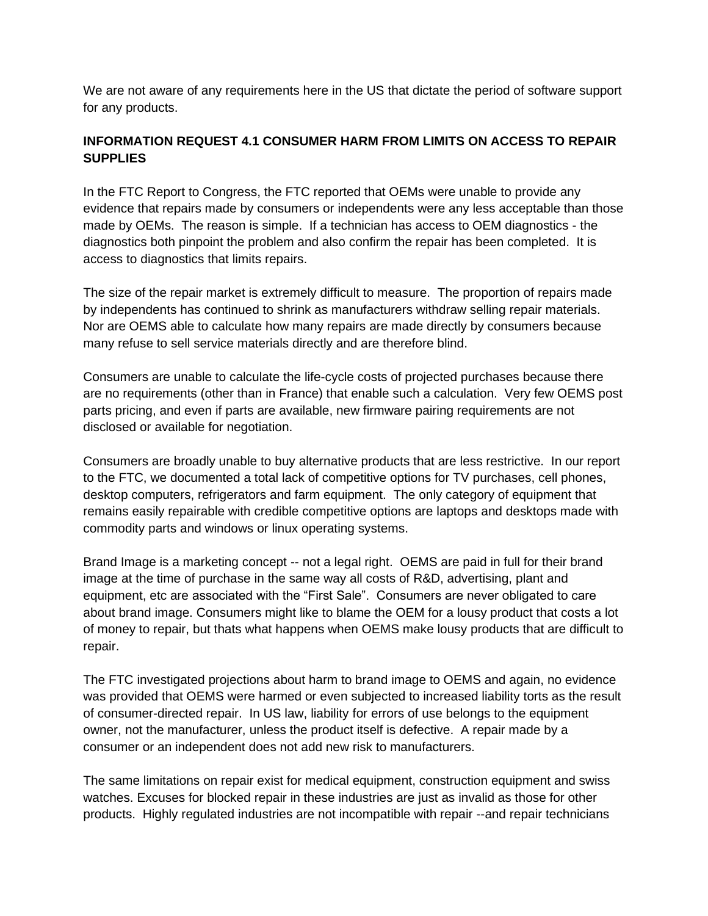We are not aware of any requirements here in the US that dictate the period of software support for any products.

## **INFORMATION REQUEST 4.1 CONSUMER HARM FROM LIMITS ON ACCESS TO REPAIR SUPPLIES**

In the FTC Report to Congress, the FTC reported that OEMs were unable to provide any evidence that repairs made by consumers or independents were any less acceptable than those made by OEMs. The reason is simple. If a technician has access to OEM diagnostics - the diagnostics both pinpoint the problem and also confirm the repair has been completed. It is access to diagnostics that limits repairs.

The size of the repair market is extremely difficult to measure. The proportion of repairs made by independents has continued to shrink as manufacturers withdraw selling repair materials. Nor are OEMS able to calculate how many repairs are made directly by consumers because many refuse to sell service materials directly and are therefore blind.

Consumers are unable to calculate the life-cycle costs of projected purchases because there are no requirements (other than in France) that enable such a calculation. Very few OEMS post parts pricing, and even if parts are available, new firmware pairing requirements are not disclosed or available for negotiation.

Consumers are broadly unable to buy alternative products that are less restrictive. In our report to the FTC, we documented a total lack of competitive options for TV purchases, cell phones, desktop computers, refrigerators and farm equipment. The only category of equipment that remains easily repairable with credible competitive options are laptops and desktops made with commodity parts and windows or linux operating systems.

Brand Image is a marketing concept -- not a legal right. OEMS are paid in full for their brand image at the time of purchase in the same way all costs of R&D, advertising, plant and equipment, etc are associated with the "First Sale". Consumers are never obligated to care about brand image. Consumers might like to blame the OEM for a lousy product that costs a lot of money to repair, but thats what happens when OEMS make lousy products that are difficult to repair.

The FTC investigated projections about harm to brand image to OEMS and again, no evidence was provided that OEMS were harmed or even subjected to increased liability torts as the result of consumer-directed repair. In US law, liability for errors of use belongs to the equipment owner, not the manufacturer, unless the product itself is defective. A repair made by a consumer or an independent does not add new risk to manufacturers.

The same limitations on repair exist for medical equipment, construction equipment and swiss watches. Excuses for blocked repair in these industries are just as invalid as those for other products. Highly regulated industries are not incompatible with repair --and repair technicians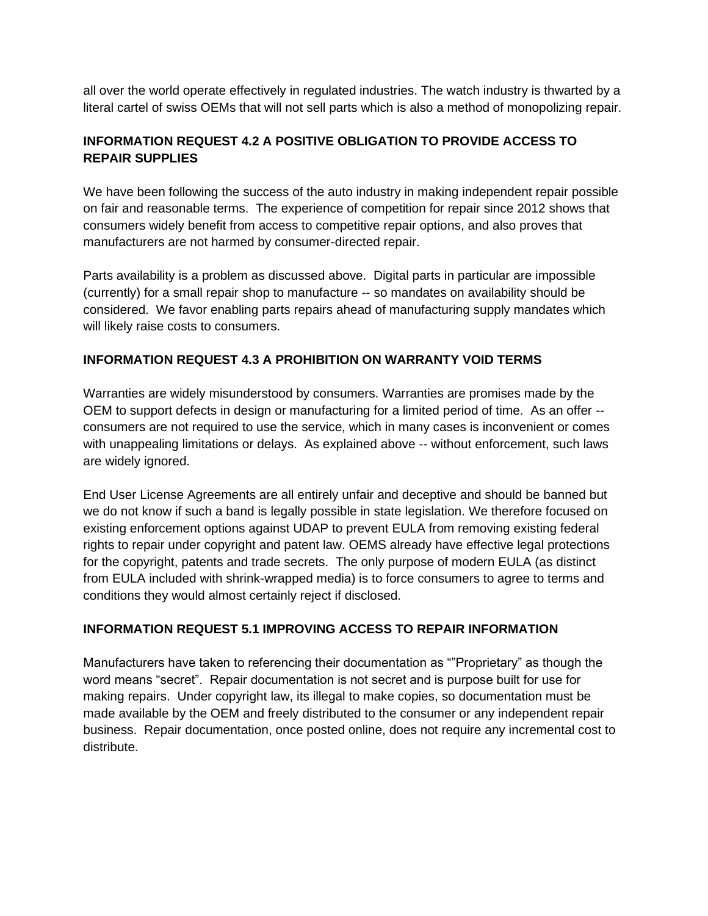all over the world operate effectively in regulated industries. The watch industry is thwarted by a literal cartel of swiss OEMs that will not sell parts which is also a method of monopolizing repair.

## **INFORMATION REQUEST 4.2 A POSITIVE OBLIGATION TO PROVIDE ACCESS TO REPAIR SUPPLIES**

We have been following the success of the auto industry in making independent repair possible on fair and reasonable terms. The experience of competition for repair since 2012 shows that consumers widely benefit from access to competitive repair options, and also proves that manufacturers are not harmed by consumer-directed repair.

Parts availability is a problem as discussed above. Digital parts in particular are impossible (currently) for a small repair shop to manufacture -- so mandates on availability should be considered. We favor enabling parts repairs ahead of manufacturing supply mandates which will likely raise costs to consumers.

## **INFORMATION REQUEST 4.3 A PROHIBITION ON WARRANTY VOID TERMS**

Warranties are widely misunderstood by consumers. Warranties are promises made by the OEM to support defects in design or manufacturing for a limited period of time. As an offer - consumers are not required to use the service, which in many cases is inconvenient or comes with unappealing limitations or delays. As explained above -- without enforcement, such laws are widely ignored.

End User License Agreements are all entirely unfair and deceptive and should be banned but we do not know if such a band is legally possible in state legislation. We therefore focused on existing enforcement options against UDAP to prevent EULA from removing existing federal rights to repair under copyright and patent law. OEMS already have effective legal protections for the copyright, patents and trade secrets. The only purpose of modern EULA (as distinct from EULA included with shrink-wrapped media) is to force consumers to agree to terms and conditions they would almost certainly reject if disclosed.

#### **INFORMATION REQUEST 5.1 IMPROVING ACCESS TO REPAIR INFORMATION**

Manufacturers have taken to referencing their documentation as ""Proprietary" as though the word means "secret". Repair documentation is not secret and is purpose built for use for making repairs. Under copyright law, its illegal to make copies, so documentation must be made available by the OEM and freely distributed to the consumer or any independent repair business. Repair documentation, once posted online, does not require any incremental cost to distribute.